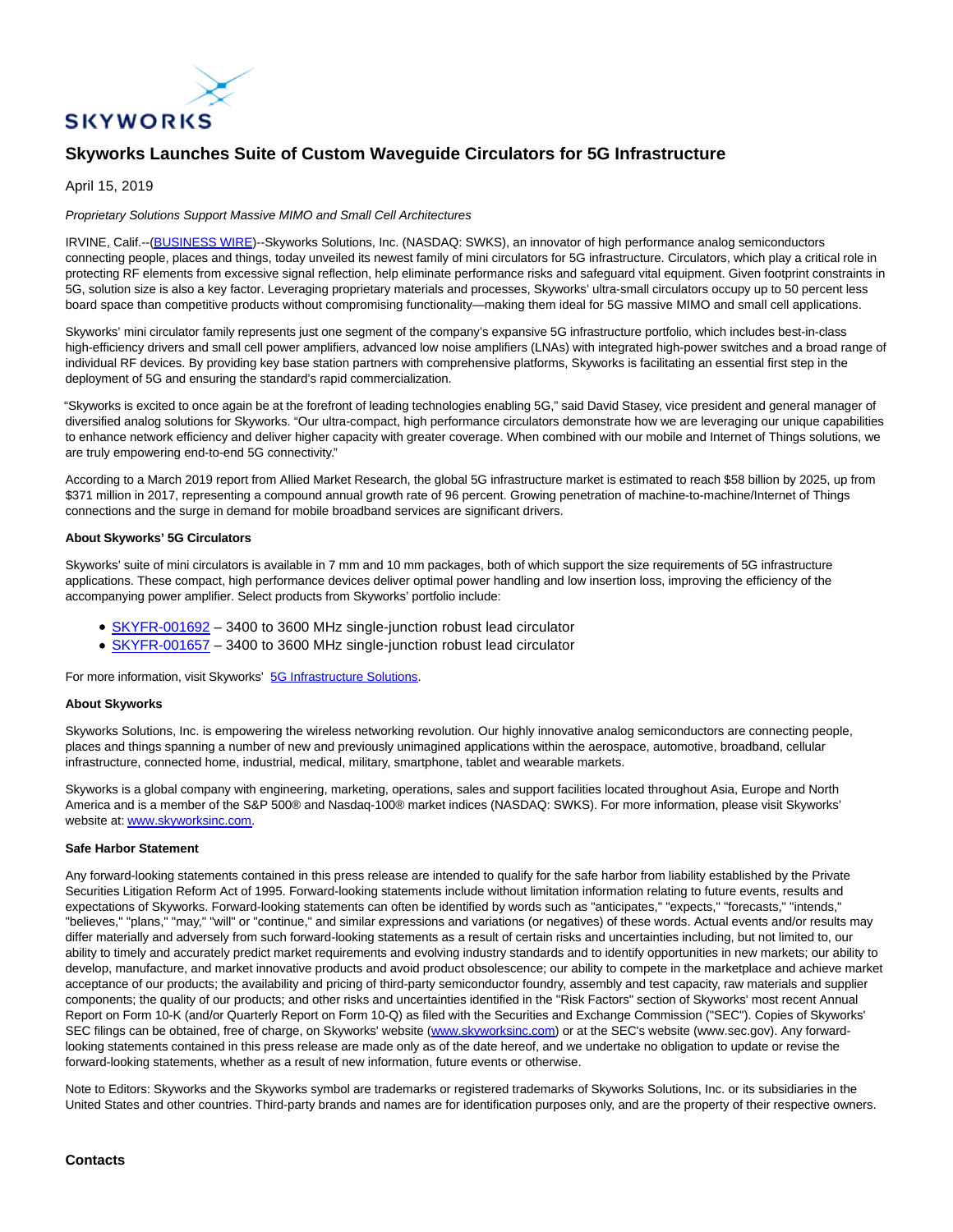

# **Skyworks Launches Suite of Custom Waveguide Circulators for 5G Infrastructure**

# April 15, 2019

## Proprietary Solutions Support Massive MIMO and Small Cell Architectures

IRVINE, Calif.--[\(BUSINESS WIRE\)-](https://www.businesswire.com/)-Skyworks Solutions, Inc. (NASDAQ: SWKS), an innovator of high performance analog semiconductors connecting people, places and things, today unveiled its newest family of mini circulators for 5G infrastructure. Circulators, which play a critical role in protecting RF elements from excessive signal reflection, help eliminate performance risks and safeguard vital equipment. Given footprint constraints in 5G, solution size is also a key factor. Leveraging proprietary materials and processes, Skyworks' ultra-small circulators occupy up to 50 percent less board space than competitive products without compromising functionality—making them ideal for 5G massive MIMO and small cell applications.

Skyworks' mini circulator family represents just one segment of the company's expansive 5G infrastructure portfolio, which includes best-in-class high-efficiency drivers and small cell power amplifiers, advanced low noise amplifiers (LNAs) with integrated high-power switches and a broad range of individual RF devices. By providing key base station partners with comprehensive platforms, Skyworks is facilitating an essential first step in the deployment of 5G and ensuring the standard's rapid commercialization.

"Skyworks is excited to once again be at the forefront of leading technologies enabling 5G," said David Stasey, vice president and general manager of diversified analog solutions for Skyworks. "Our ultra-compact, high performance circulators demonstrate how we are leveraging our unique capabilities to enhance network efficiency and deliver higher capacity with greater coverage. When combined with our mobile and Internet of Things solutions, we are truly empowering end-to-end 5G connectivity."

According to a March 2019 report from Allied Market Research, the global 5G infrastructure market is estimated to reach \$58 billion by 2025, up from \$371 million in 2017, representing a compound annual growth rate of 96 percent. Growing penetration of machine-to-machine/Internet of Things connections and the surge in demand for mobile broadband services are significant drivers.

## **About Skyworks' 5G Circulators**

Skyworks' suite of mini circulators is available in 7 mm and 10 mm packages, both of which support the size requirements of 5G infrastructure applications. These compact, high performance devices deliver optimal power handling and low insertion loss, improving the efficiency of the accompanying power amplifier. Select products from Skyworks' portfolio include:

- [SKYFR-001692 –](https://cts.businesswire.com/ct/CT?id=smartlink&url=http%3A%2F%2Fwww.skyworksinc.com%2FProduct%2F4189%2FSKYFR-001692&esheet=51969111&newsitemid=20190415005165&lan=en-US&anchor=SKYFR-001692&index=1&md5=f9ba08b5ae58a63d4f8e510a87c7b8a6) 3400 to 3600 MHz single-junction robust lead circulator
- [SKYFR-001657 –](https://cts.businesswire.com/ct/CT?id=smartlink&url=http%3A%2F%2Fwww.skyworksinc.com%2FProduct%2F4209%2FSKYFR-001657&esheet=51969111&newsitemid=20190415005165&lan=en-US&anchor=SKYFR-001657&index=2&md5=a82817ec8f0fbbb5adecd4364c73b725) 3400 to 3600 MHz single-junction robust lead circulator

For more information, visit Skyworks' [5G Infrastructure Solutions.](https://cts.businesswire.com/ct/CT?id=smartlink&url=http%3A%2F%2Fwww.skyworksinc.com%2FMarket%2F22%2FWireless_Infrastructure&esheet=51969111&newsitemid=20190415005165&lan=en-US&anchor=5G+Infrastructure+Solutions&index=3&md5=1ed184977244c6b0edd63608afbe2725)

### **About Skyworks**

Skyworks Solutions, Inc. is empowering the wireless networking revolution. Our highly innovative analog semiconductors are connecting people, places and things spanning a number of new and previously unimagined applications within the aerospace, automotive, broadband, cellular infrastructure, connected home, industrial, medical, military, smartphone, tablet and wearable markets.

Skyworks is a global company with engineering, marketing, operations, sales and support facilities located throughout Asia, Europe and North America and is a member of the S&P 500® and Nasdaq-100® market indices (NASDAQ: SWKS). For more information, please visit Skyworks' website at[: www.skyworksinc.com.](https://cts.businesswire.com/ct/CT?id=smartlink&url=http%3A%2F%2Fwww.skyworksinc.com&esheet=51969111&newsitemid=20190415005165&lan=en-US&anchor=www.skyworksinc.com&index=4&md5=18de6a5dfdd3ae76f09557b1abb76fe9)

### **Safe Harbor Statement**

Any forward-looking statements contained in this press release are intended to qualify for the safe harbor from liability established by the Private Securities Litigation Reform Act of 1995. Forward-looking statements include without limitation information relating to future events, results and expectations of Skyworks. Forward-looking statements can often be identified by words such as "anticipates," "expects," "forecasts," "intends," "believes," "plans," "may," "will" or "continue," and similar expressions and variations (or negatives) of these words. Actual events and/or results may differ materially and adversely from such forward-looking statements as a result of certain risks and uncertainties including, but not limited to, our ability to timely and accurately predict market requirements and evolving industry standards and to identify opportunities in new markets; our ability to develop, manufacture, and market innovative products and avoid product obsolescence; our ability to compete in the marketplace and achieve market acceptance of our products; the availability and pricing of third-party semiconductor foundry, assembly and test capacity, raw materials and supplier components; the quality of our products; and other risks and uncertainties identified in the "Risk Factors" section of Skyworks' most recent Annual Report on Form 10-K (and/or Quarterly Report on Form 10-Q) as filed with the Securities and Exchange Commission ("SEC"). Copies of Skyworks' SEC filings can be obtained, free of charge, on Skyworks' website [\(www.skyworksinc.com\)](https://cts.businesswire.com/ct/CT?id=smartlink&url=http%3A%2F%2Fwww.skyworksinc.com&esheet=51969111&newsitemid=20190415005165&lan=en-US&anchor=www.skyworksinc.com&index=5&md5=1a510bceed0f640dbf202eae75c5ac35) or at the SEC's website (www.sec.gov). Any forwardlooking statements contained in this press release are made only as of the date hereof, and we undertake no obligation to update or revise the forward-looking statements, whether as a result of new information, future events or otherwise.

Note to Editors: Skyworks and the Skyworks symbol are trademarks or registered trademarks of Skyworks Solutions, Inc. or its subsidiaries in the United States and other countries. Third-party brands and names are for identification purposes only, and are the property of their respective owners.